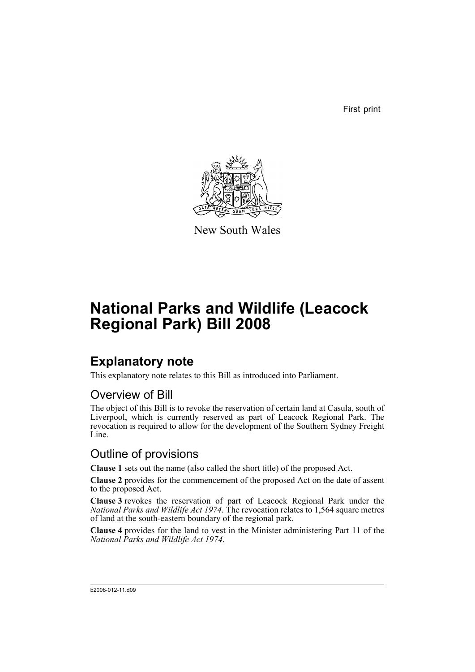First print



New South Wales

# **National Parks and Wildlife (Leacock Regional Park) Bill 2008**

## **Explanatory note**

This explanatory note relates to this Bill as introduced into Parliament.

#### Overview of Bill

The object of this Bill is to revoke the reservation of certain land at Casula, south of Liverpool, which is currently reserved as part of Leacock Regional Park. The revocation is required to allow for the development of the Southern Sydney Freight Line.

#### Outline of provisions

**Clause 1** sets out the name (also called the short title) of the proposed Act.

**Clause 2** provides for the commencement of the proposed Act on the date of assent to the proposed Act.

**Clause 3** revokes the reservation of part of Leacock Regional Park under the *National Parks and Wildlife Act 1974*. The revocation relates to 1,564 square metres of land at the south-eastern boundary of the regional park.

**Clause 4** provides for the land to vest in the Minister administering Part 11 of the *National Parks and Wildlife Act 1974*.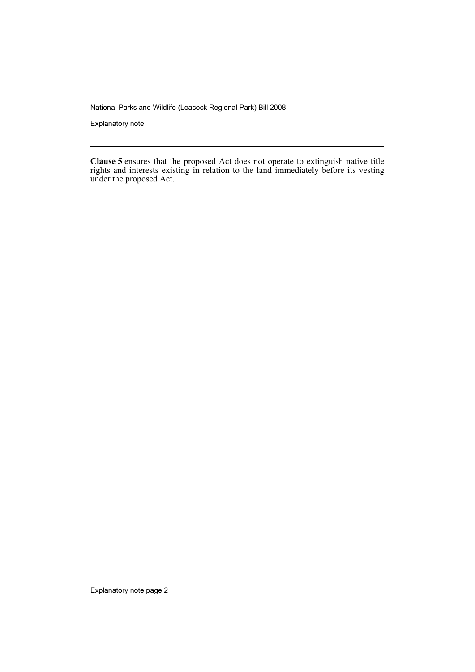National Parks and Wildlife (Leacock Regional Park) Bill 2008

Explanatory note

**Clause 5** ensures that the proposed Act does not operate to extinguish native title rights and interests existing in relation to the land immediately before its vesting under the proposed Act.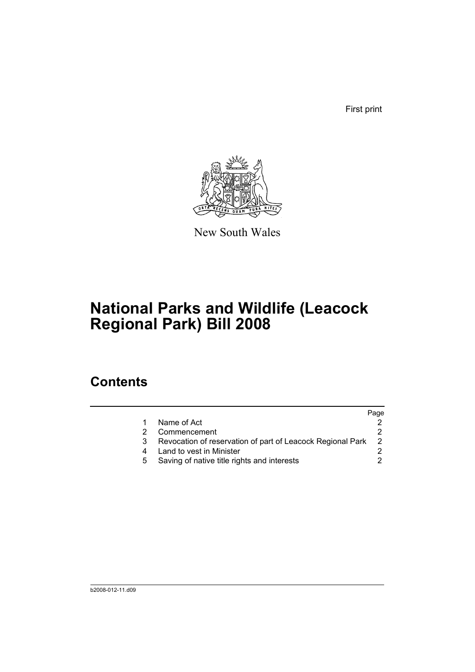First print



New South Wales

# **National Parks and Wildlife (Leacock Regional Park) Bill 2008**

### **Contents**

|   |                                                            | Page           |
|---|------------------------------------------------------------|----------------|
|   | Name of Act                                                |                |
|   | Commencement                                               |                |
| 3 | Revocation of reservation of part of Leacock Regional Park | $\overline{2}$ |
|   | Land to vest in Minister                                   |                |
|   | Saving of native title rights and interests                |                |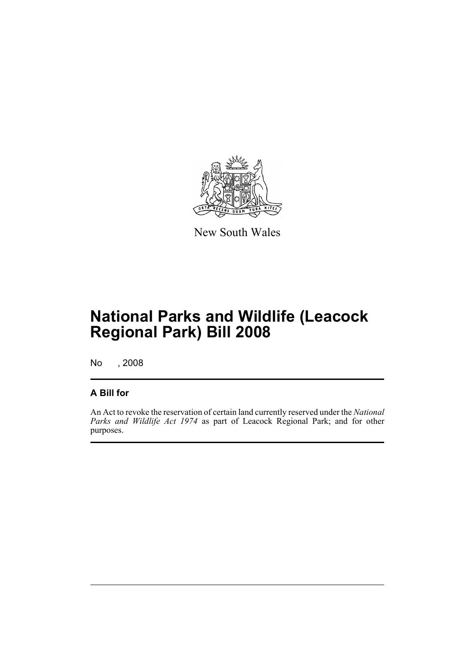

New South Wales

## **National Parks and Wildlife (Leacock Regional Park) Bill 2008**

No , 2008

#### **A Bill for**

An Act to revoke the reservation of certain land currently reserved under the *National Parks and Wildlife Act 1974* as part of Leacock Regional Park; and for other purposes.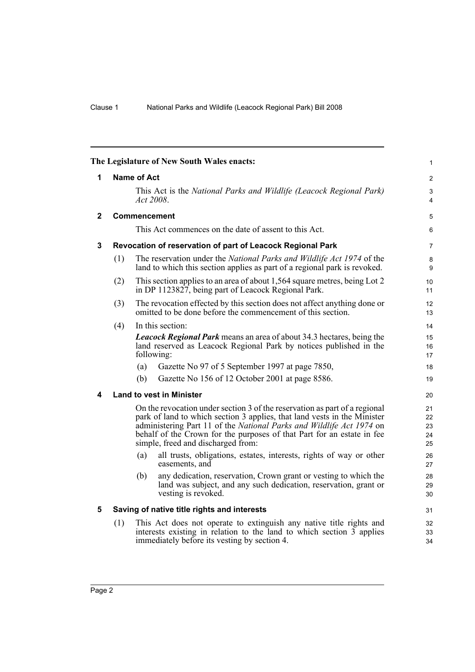<span id="page-5-4"></span><span id="page-5-3"></span><span id="page-5-2"></span><span id="page-5-1"></span><span id="page-5-0"></span>

|              |                                                                                                                                                                                                                                                                                                                                                |                                                                                  | The Legislature of New South Wales enacts:                                                                                                                                                                | 1              |  |  |
|--------------|------------------------------------------------------------------------------------------------------------------------------------------------------------------------------------------------------------------------------------------------------------------------------------------------------------------------------------------------|----------------------------------------------------------------------------------|-----------------------------------------------------------------------------------------------------------------------------------------------------------------------------------------------------------|----------------|--|--|
| 1            | <b>Name of Act</b>                                                                                                                                                                                                                                                                                                                             |                                                                                  | $\overline{2}$                                                                                                                                                                                            |                |  |  |
|              |                                                                                                                                                                                                                                                                                                                                                | This Act is the National Parks and Wildlife (Leacock Regional Park)<br>Act 2008. |                                                                                                                                                                                                           |                |  |  |
| $\mathbf{2}$ |                                                                                                                                                                                                                                                                                                                                                |                                                                                  | <b>Commencement</b>                                                                                                                                                                                       | 5              |  |  |
|              |                                                                                                                                                                                                                                                                                                                                                |                                                                                  | This Act commences on the date of assent to this Act.                                                                                                                                                     | 6              |  |  |
| 3            | Revocation of reservation of part of Leacock Regional Park                                                                                                                                                                                                                                                                                     |                                                                                  |                                                                                                                                                                                                           |                |  |  |
|              | (1)                                                                                                                                                                                                                                                                                                                                            |                                                                                  | The reservation under the <i>National Parks and Wildlife Act 1974</i> of the<br>land to which this section applies as part of a regional park is revoked.                                                 | 8<br>9         |  |  |
|              | (2)                                                                                                                                                                                                                                                                                                                                            |                                                                                  | This section applies to an area of about 1,564 square metres, being Lot 2<br>in DP 1123827, being part of Leacock Regional Park.                                                                          | 10<br>11       |  |  |
|              | (3)                                                                                                                                                                                                                                                                                                                                            |                                                                                  | The revocation effected by this section does not affect anything done or<br>omitted to be done before the commencement of this section.                                                                   | 12<br>13       |  |  |
|              | (4)                                                                                                                                                                                                                                                                                                                                            |                                                                                  | In this section:                                                                                                                                                                                          | 14             |  |  |
|              | <b>Leacock Regional Park</b> means an area of about 34.3 hectares, being the<br>land reserved as Leacock Regional Park by notices published in the<br>following:                                                                                                                                                                               |                                                                                  |                                                                                                                                                                                                           |                |  |  |
|              |                                                                                                                                                                                                                                                                                                                                                | (a)                                                                              | Gazette No 97 of 5 September 1997 at page 7850,                                                                                                                                                           | 18             |  |  |
|              |                                                                                                                                                                                                                                                                                                                                                | (b)                                                                              | Gazette No 156 of 12 October 2001 at page 8586.                                                                                                                                                           | 19             |  |  |
| 4            | <b>Land to vest in Minister</b>                                                                                                                                                                                                                                                                                                                |                                                                                  |                                                                                                                                                                                                           |                |  |  |
|              | On the revocation under section 3 of the reservation as part of a regional<br>park of land to which section 3 applies, that land vests in the Minister<br>administering Part 11 of the National Parks and Wildlife Act 1974 on<br>behalf of the Crown for the purposes of that Part for an estate in fee<br>simple, freed and discharged from: |                                                                                  |                                                                                                                                                                                                           |                |  |  |
|              |                                                                                                                                                                                                                                                                                                                                                | (a)                                                                              | all trusts, obligations, estates, interests, rights of way or other<br>easements, and                                                                                                                     | 26<br>27       |  |  |
|              |                                                                                                                                                                                                                                                                                                                                                | (b)                                                                              | any dedication, reservation, Crown grant or vesting to which the<br>land was subject, and any such dedication, reservation, grant or<br>vesting is revoked.                                               | 28<br>29<br>30 |  |  |
| 5            | Saving of native title rights and interests                                                                                                                                                                                                                                                                                                    |                                                                                  |                                                                                                                                                                                                           |                |  |  |
|              | (1)                                                                                                                                                                                                                                                                                                                                            |                                                                                  | This Act does not operate to extinguish any native title rights and<br>interests existing in relation to the land to which section $\overline{3}$ applies<br>immediately before its vesting by section 4. | 32<br>33<br>34 |  |  |